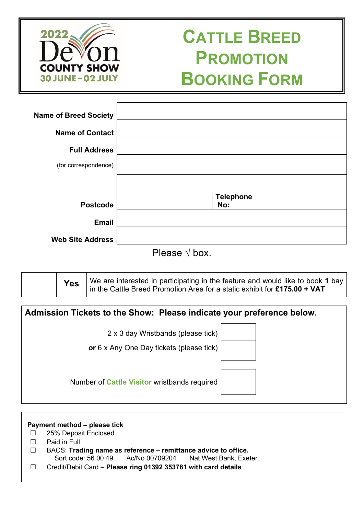

# **CATTLE BREED PROMOTION BOOKING FORM**

| <b>Name of Breed Society</b> |                          |
|------------------------------|--------------------------|
| <b>Name of Contact</b>       |                          |
| <b>Full Address</b>          |                          |
| (for correspondence)         |                          |
|                              |                          |
|                              | <b>Telephone</b>         |
| <b>Postcode</b>              | No:                      |
| <b>Email</b>                 |                          |
| <b>Web Site Address</b>      | $\overline{\phantom{a}}$ |

Please √ box.

|  | Yes | $^{\prime}$ We are interested in participating in the feature and would like to book <b>1</b> bay $\vert$<br>in the Cattle Breed Promotion Area for a static exhibit for £175.00 + VAT |
|--|-----|----------------------------------------------------------------------------------------------------------------------------------------------------------------------------------------|
|--|-----|----------------------------------------------------------------------------------------------------------------------------------------------------------------------------------------|

| Admission Tickets to the Show: Please indicate your preference below.          |
|--------------------------------------------------------------------------------|
| 2 x 3 day Wristbands (please tick)<br>or 6 x Any One Day tickets (please tick) |
| Number of Cattle Visitor wristbands required                                   |

 **Payment method – please tick** 25% Deposit Enclosed Paid in Full BACS: **Trading name as reference – remittance advice to office.**  Sort code: 56 00 49 Ac/No 00709204 Nat West Bank, Exeter Credit/Debit Card – **Please ring 01392 353781 with card details**